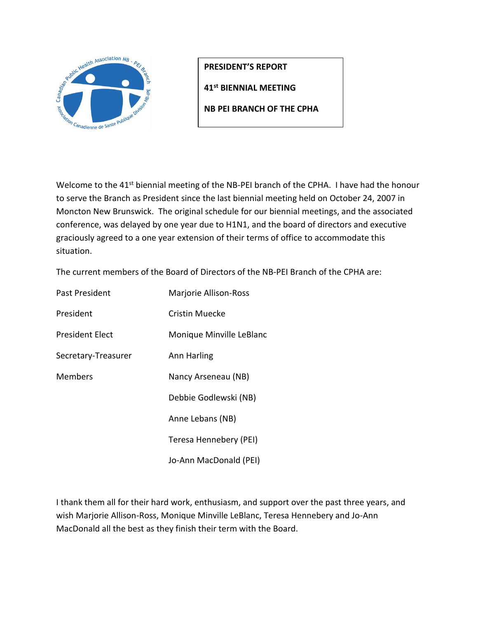

**PRESIDENT'S REPORT**

**41st BIENNIAL MEETING** 

**NB PEI BRANCH OF THE CPHA**

Welcome to the 41<sup>st</sup> biennial meeting of the NB-PEI branch of the CPHA. I have had the honour to serve the Branch as President since the last biennial meeting held on October 24, 2007 in Moncton New Brunswick. The original schedule for our biennial meetings, and the associated conference, was delayed by one year due to H1N1, and the board of directors and executive graciously agreed to a one year extension of their terms of office to accommodate this situation.

The current members of the Board of Directors of the NB-PEI Branch of the CPHA are:

| Past President         | Marjorie Allison-Ross    |
|------------------------|--------------------------|
| President              | Cristin Muecke           |
| <b>President Elect</b> | Monique Minville LeBlanc |
| Secretary-Treasurer    | Ann Harling              |
| <b>Members</b>         | Nancy Arseneau (NB)      |
|                        | Debbie Godlewski (NB)    |
|                        | Anne Lebans (NB)         |
|                        | Teresa Hennebery (PEI)   |
|                        | Jo-Ann MacDonald (PEI)   |

I thank them all for their hard work, enthusiasm, and support over the past three years, and wish Marjorie Allison-Ross, Monique Minville LeBlanc, Teresa Hennebery and Jo-Ann MacDonald all the best as they finish their term with the Board.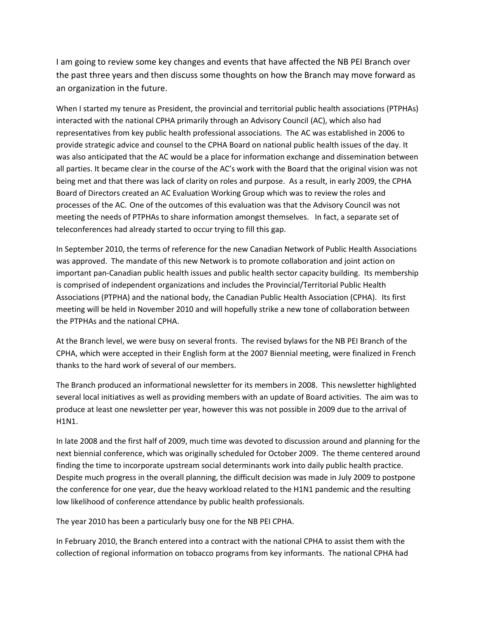I am going to review some key changes and events that have affected the NB PEI Branch over the past three years and then discuss some thoughts on how the Branch may move forward as an organization in the future.

When I started my tenure as President, the provincial and territorial public health associations (PTPHAs) interacted with the national CPHA primarily through an Advisory Council (AC), which also had representatives from key public health professional associations. The AC was established in 2006 to provide strategic advice and counsel to the CPHA Board on national public health issues of the day. It was also anticipated that the AC would be a place for information exchange and dissemination between all parties. It became clear in the course of the AC's work with the Board that the original vision was not being met and that there was lack of clarity on roles and purpose. As a result, in early 2009, the CPHA Board of Directors created an AC Evaluation Working Group which was to review the roles and processes of the AC. One of the outcomes of this evaluation was that the Advisory Council was not meeting the needs of PTPHAs to share information amongst themselves. In fact, a separate set of teleconferences had already started to occur trying to fill this gap.

In September 2010, the terms of reference for the new Canadian Network of Public Health Associations was approved. The mandate of this new Network is to promote collaboration and joint action on important pan-Canadian public health issues and public health sector capacity building. Its membership is comprised of independent organizations and includes the Provincial/Territorial Public Health Associations (PTPHA) and the national body, the Canadian Public Health Association (CPHA). Its first meeting will be held in November 2010 and will hopefully strike a new tone of collaboration between the PTPHAs and the national CPHA.

At the Branch level, we were busy on several fronts. The revised bylaws for the NB PEI Branch of the CPHA, which were accepted in their English form at the 2007 Biennial meeting, were finalized in French thanks to the hard work of several of our members.

The Branch produced an informational newsletter for its members in 2008. This newsletter highlighted several local initiatives as well as providing members with an update of Board activities. The aim was to produce at least one newsletter per year, however this was not possible in 2009 due to the arrival of H1N1.

In late 2008 and the first half of 2009, much time was devoted to discussion around and planning for the next biennial conference, which was originally scheduled for October 2009. The theme centered around finding the time to incorporate upstream social determinants work into daily public health practice. Despite much progress in the overall planning, the difficult decision was made in July 2009 to postpone the conference for one year, due the heavy workload related to the H1N1 pandemic and the resulting low likelihood of conference attendance by public health professionals.

The year 2010 has been a particularly busy one for the NB PEI CPHA.

In February 2010, the Branch entered into a contract with the national CPHA to assist them with the collection of regional information on tobacco programs from key informants. The national CPHA had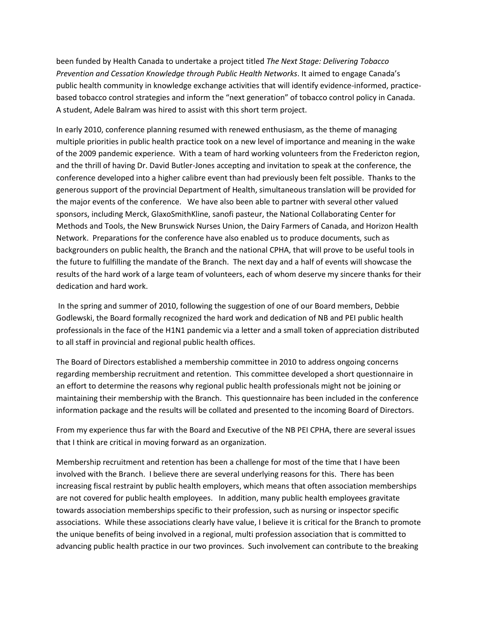been funded by Health Canada to undertake a project titled *The Next Stage: Delivering Tobacco Prevention and Cessation Knowledge through Public Health Networks*. It aimed to engage Canada's public health community in knowledge exchange activities that will identify evidence-informed, practicebased tobacco control strategies and inform the "next generation" of tobacco control policy in Canada. A student, Adele Balram was hired to assist with this short term project.

In early 2010, conference planning resumed with renewed enthusiasm, as the theme of managing multiple priorities in public health practice took on a new level of importance and meaning in the wake of the 2009 pandemic experience. With a team of hard working volunteers from the Fredericton region, and the thrill of having Dr. David Butler-Jones accepting and invitation to speak at the conference, the conference developed into a higher calibre event than had previously been felt possible. Thanks to the generous support of the provincial Department of Health, simultaneous translation will be provided for the major events of the conference. We have also been able to partner with several other valued sponsors, including Merck, GlaxoSmithKline, sanofi pasteur, the National Collaborating Center for Methods and Tools, the New Brunswick Nurses Union, the Dairy Farmers of Canada, and Horizon Health Network. Preparations for the conference have also enabled us to produce documents, such as backgrounders on public health, the Branch and the national CPHA, that will prove to be useful tools in the future to fulfilling the mandate of the Branch. The next day and a half of events will showcase the results of the hard work of a large team of volunteers, each of whom deserve my sincere thanks for their dedication and hard work.

In the spring and summer of 2010, following the suggestion of one of our Board members, Debbie Godlewski, the Board formally recognized the hard work and dedication of NB and PEI public health professionals in the face of the H1N1 pandemic via a letter and a small token of appreciation distributed to all staff in provincial and regional public health offices.

The Board of Directors established a membership committee in 2010 to address ongoing concerns regarding membership recruitment and retention. This committee developed a short questionnaire in an effort to determine the reasons why regional public health professionals might not be joining or maintaining their membership with the Branch. This questionnaire has been included in the conference information package and the results will be collated and presented to the incoming Board of Directors.

From my experience thus far with the Board and Executive of the NB PEI CPHA, there are several issues that I think are critical in moving forward as an organization.

Membership recruitment and retention has been a challenge for most of the time that I have been involved with the Branch. I believe there are several underlying reasons for this. There has been increasing fiscal restraint by public health employers, which means that often association memberships are not covered for public health employees. In addition, many public health employees gravitate towards association memberships specific to their profession, such as nursing or inspector specific associations. While these associations clearly have value, I believe it is critical for the Branch to promote the unique benefits of being involved in a regional, multi profession association that is committed to advancing public health practice in our two provinces. Such involvement can contribute to the breaking